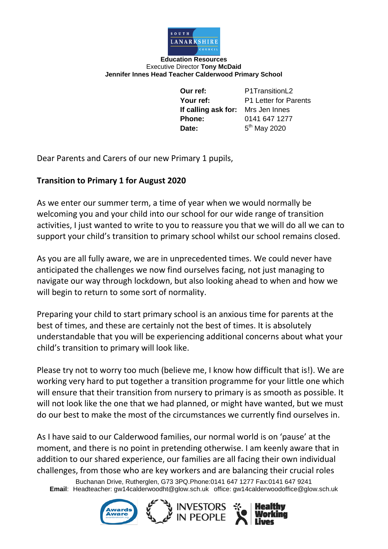

**Education Resources** Executive Director **Tony McDaid Jennifer Innes Head Teacher Calderwood Primary School**

> **Our ref:** P1TransitionL2 **Your ref:** P1 Letter for Parents **If calling ask for:** Mrs Jen Innes **Phone:** 0141 647 1277 Date:  $5<sup>th</sup>$  May 2020

Dear Parents and Carers of our new Primary 1 pupils,

## **Transition to Primary 1 for August 2020**

As we enter our summer term, a time of year when we would normally be welcoming you and your child into our school for our wide range of transition activities, I just wanted to write to you to reassure you that we will do all we can to support your child's transition to primary school whilst our school remains closed.

As you are all fully aware, we are in unprecedented times. We could never have anticipated the challenges we now find ourselves facing, not just managing to navigate our way through lockdown, but also looking ahead to when and how we will begin to return to some sort of normality.

Preparing your child to start primary school is an anxious time for parents at the best of times, and these are certainly not the best of times. It is absolutely understandable that you will be experiencing additional concerns about what your child's transition to primary will look like.

Please try not to worry too much (believe me, I know how difficult that is!). We are working very hard to put together a transition programme for your little one which will ensure that their transition from nursery to primary is as smooth as possible. It will not look like the one that we had planned, or might have wanted, but we must do our best to make the most of the circumstances we currently find ourselves in.

As I have said to our Calderwood families, our normal world is on 'pause' at the moment, and there is no point in pretending otherwise. I am keenly aware that in addition to our shared experience, our families are all facing their own individual challenges, from those who are key workers and are balancing their crucial roles

Buchanan Drive, Rutherglen, G73 3PQ.Phone:0141 647 1277 Fax:0141 647 9241 **Email**: Headteacher: gw14calderwoodht@glow.sch.uk office: gw14calderwoodoffice@glow.sch.uk